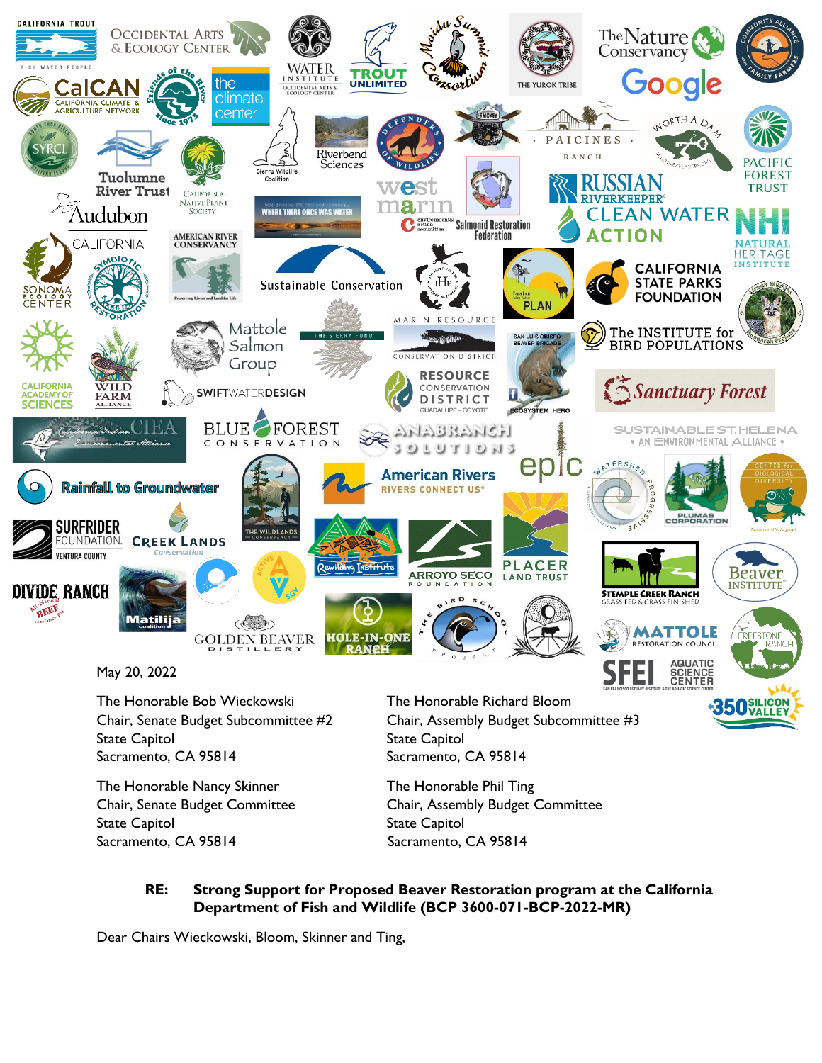

May 20, 2022

The Honorable Bob Wieckowski The Honorable Richard Bloom State Capitol **State Capitol** State Capitol Sacramento, CA 95814 Sacramento, CA 95814

The Honorable Nancy Skinner The Honorable Phil Ting State Capitol **State Capitol** State Capitol Sacramento, CA 95814 Sacramento, CA 95814

Chair, Senate Budget Subcommittee #2 Chair, Assembly Budget Subcommittee #3

350 SILICOI

Chair, Senate Budget Committee Chair, Assembly Budget Committee

## **RE: Strong Support for Proposed Beaver Restoration program at the California Department of Fish and Wildlife (BCP 3600-071-BCP-2022-MR)**

Dear Chairs Wieckowski, Bloom, Skinner and Ting,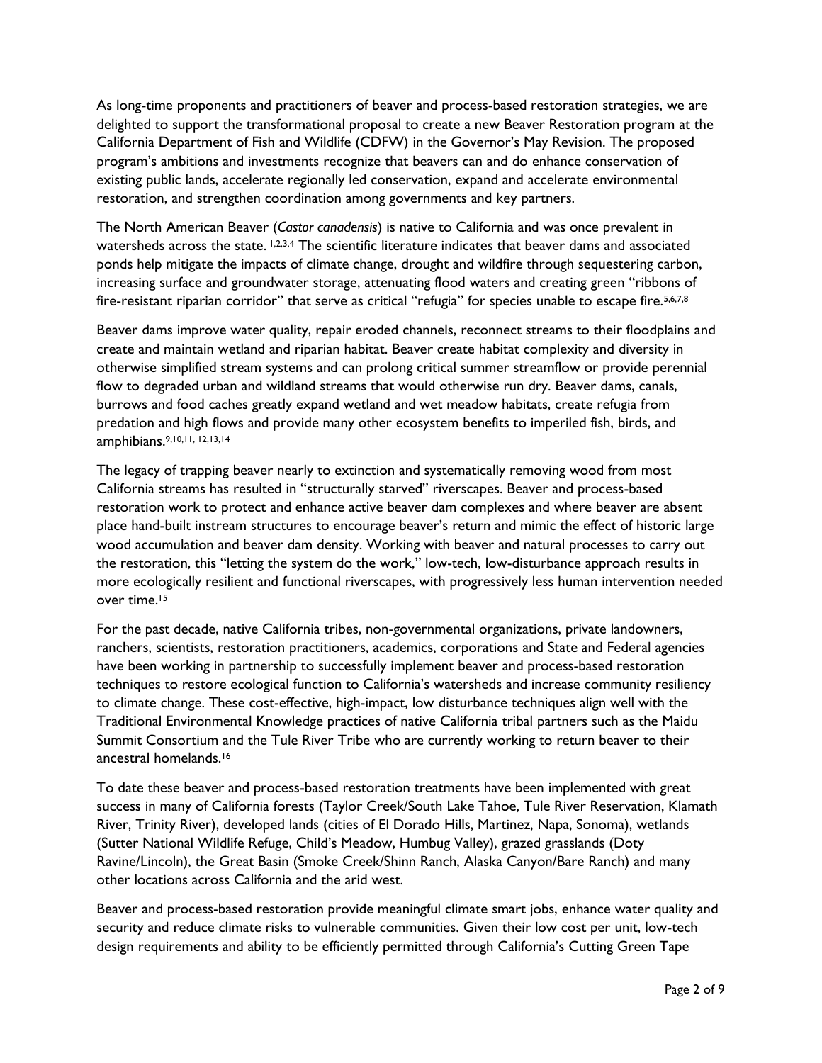As long-time proponents and practitioners of beaver and process-based restoration strategies, we are delighted to support the transformational proposal to create a new Beaver Restoration program at the California Department of Fish and Wildlife (CDFW) in the Governor's May Revision. The proposed program's ambitions and investments recognize that beavers can and do enhance conservation of existing public lands, accelerate regionally led conservation, expand and accelerate environmental restoration, and strengthen coordination among governments and key partners.

The North American Beaver (*Castor canadensis*) is native to California and was once prevalent in watersheds across the state. 1,2,3,4 The scientific literature indicates that beaver dams and associated ponds help mitigate the impacts of climate change, drought and wildfire through sequestering carbon, increasing surface and groundwater storage, attenuating flood waters and creating green "ribbons of fire-resistant riparian corridor" that serve as critical "refugia" for species unable to escape fire.<sup>5,6,7,8</sup>

Beaver dams improve water quality, repair eroded channels, reconnect streams to their floodplains and create and maintain wetland and riparian habitat. Beaver create habitat complexity and diversity in otherwise simplified stream systems and can prolong critical summer streamflow or provide perennial flow to degraded urban and wildland streams that would otherwise run dry. Beaver dams, canals, burrows and food caches greatly expand wetland and wet meadow habitats, create refugia from predation and high flows and provide many other ecosystem benefits to imperiled fish, birds, and amphibians.9,10,11, 12,13,14

The legacy of trapping beaver nearly to extinction and systematically removing wood from most California streams has resulted in "structurally starved" riverscapes. Beaver and process-based restoration work to protect and enhance active beaver dam complexes and where beaver are absent place hand-built instream structures to encourage beaver's return and mimic the effect of historic large wood accumulation and beaver dam density. Working with beaver and natural processes to carry out the restoration, this "letting the system do the work," low-tech, low-disturbance approach results in more ecologically resilient and functional riverscapes, with progressively less human intervention needed over time.<sup>15</sup>

For the past decade, native California tribes, non-governmental organizations, private landowners, ranchers, scientists, restoration practitioners, academics, corporations and State and Federal agencies have been working in partnership to successfully implement beaver and process-based restoration techniques to restore ecological function to California's watersheds and increase community resiliency to climate change. These cost-effective, high-impact, low disturbance techniques align well with the Traditional Environmental Knowledge practices of native California tribal partners such as the Maidu Summit Consortium and the Tule River Tribe who are currently working to return beaver to their ancestral homelands.<sup>16</sup>

To date these beaver and process-based restoration treatments have been implemented with great success in many of California forests (Taylor Creek/South Lake Tahoe, Tule River Reservation, Klamath River, Trinity River), developed lands (cities of El Dorado Hills, Martinez, Napa, Sonoma), wetlands (Sutter National Wildlife Refuge, Child's Meadow, Humbug Valley), grazed grasslands (Doty Ravine/Lincoln), the Great Basin (Smoke Creek/Shinn Ranch, Alaska Canyon/Bare Ranch) and many other locations across California and the arid west.

Beaver and process-based restoration provide meaningful climate smart jobs, enhance water quality and security and reduce climate risks to vulnerable communities. Given their low cost per unit, low-tech design requirements and ability to be efficiently permitted through California's Cutting Green Tape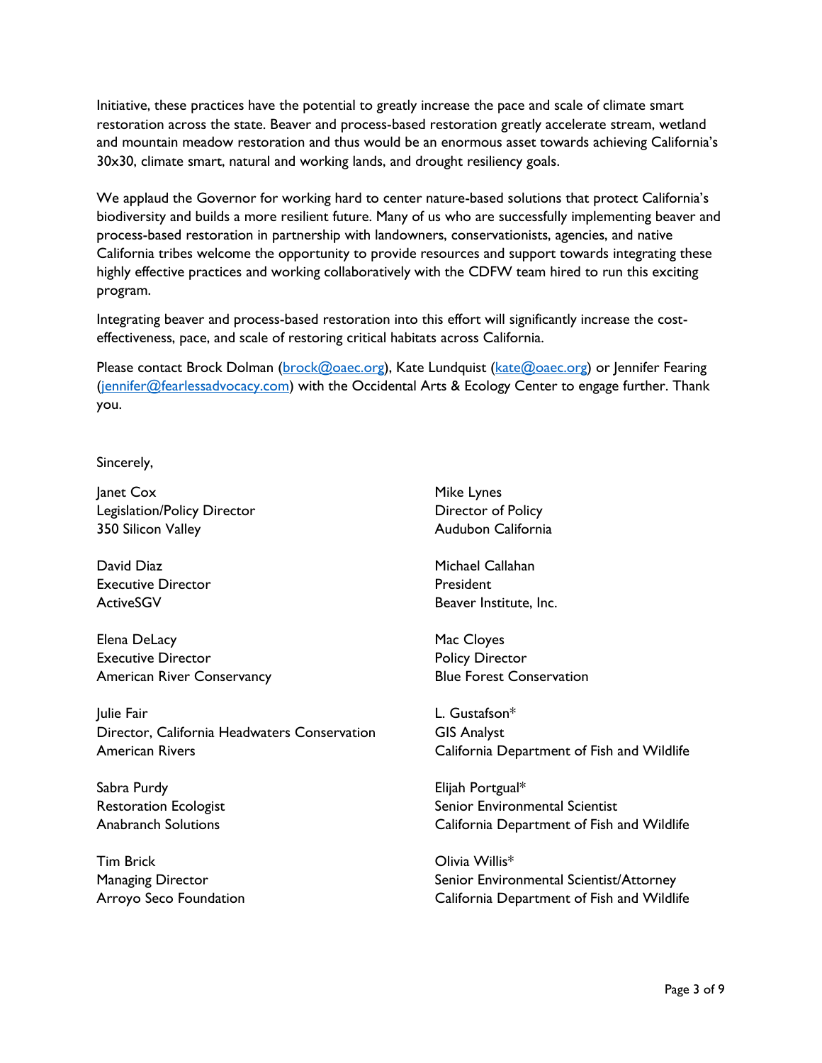Initiative, these practices have the potential to greatly increase the pace and scale of climate smart restoration across the state. Beaver and process-based restoration greatly accelerate stream, wetland and mountain meadow restoration and thus would be an enormous asset towards achieving California's 30x30, climate smart, natural and working lands, and drought resiliency goals.

We applaud the Governor for working hard to center nature-based solutions that protect California's biodiversity and builds a more resilient future. Many of us who are successfully implementing beaver and process-based restoration in partnership with landowners, conservationists, agencies, and native California tribes welcome the opportunity to provide resources and support towards integrating these highly effective practices and working collaboratively with the CDFW team hired to run this exciting program.

Integrating beaver and process-based restoration into this effort will significantly increase the costeffectiveness, pace, and scale of restoring critical habitats across California.

Please contact Brock Dolman [\(brock@oaec.org\)](mailto:brock@oaec.org), Kate Lundquist [\(kate@oaec.org\)](mailto:kate@oaec.org) or Jennifer Fearing [\(jennifer@fearlessadvocacy.com\)](mailto:jennifer@fearlessadvocacy.com) with the Occidental Arts & Ecology Center to engage further. Thank you.

## Sincerely,

Janet Cox Legislation/Policy Director 350 Silicon Valley

David Diaz Executive Director **ActiveSGV** 

Elena DeLacy Executive Director American River Conservancy

Julie Fair Director, California Headwaters Conservation American Rivers

Sabra Purdy Restoration Ecologist Anabranch Solutions

Tim Brick Managing Director Arroyo Seco Foundation Mike Lynes Director of Policy Audubon California

Michael Callahan President Beaver Institute, Inc.

Mac Cloyes Policy Director Blue Forest Conservation

L. Gustafson\* GIS Analyst California Department of Fish and Wildlife

Elijah Portgual\* Senior Environmental Scientist California Department of Fish and Wildlife

Olivia Willis\* Senior Environmental Scientist/Attorney California Department of Fish and Wildlife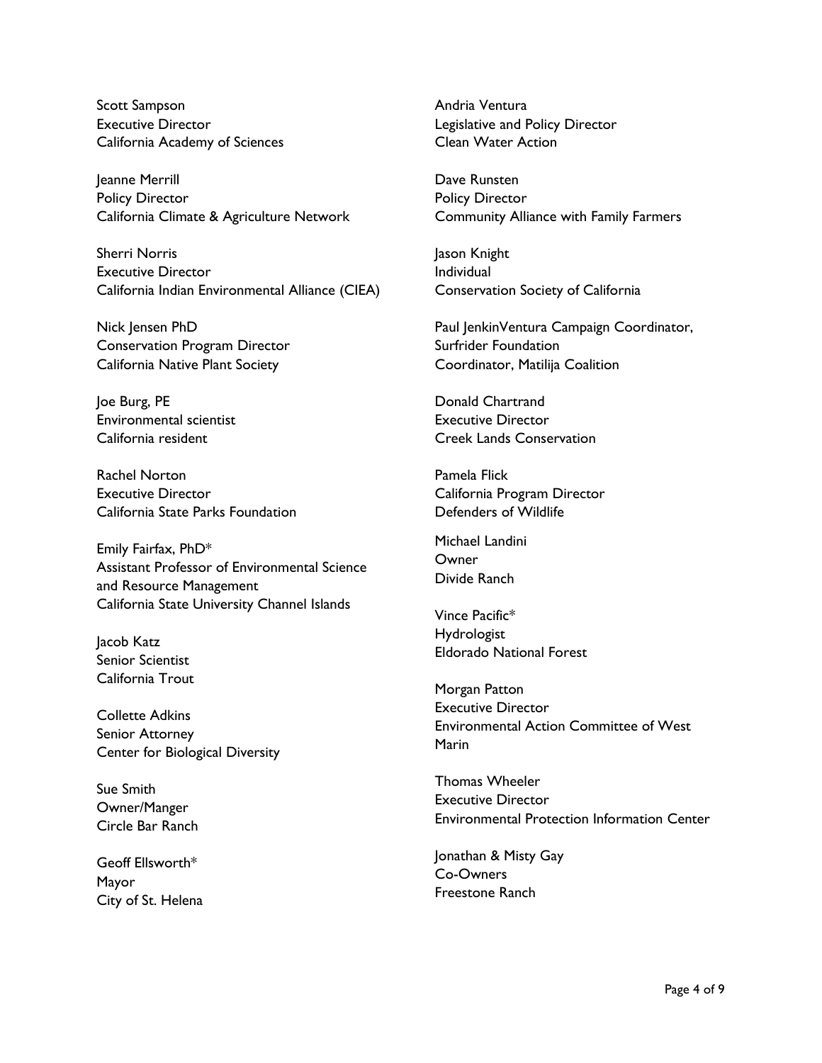Scott Sampson Executive Director California Academy of Sciences

Jeanne Merrill Policy Director California Climate & Agriculture Network

Sherri Norris Executive Director California Indian Environmental Alliance (CIEA)

Nick Jensen PhD Conservation Program Director California Native Plant Society

Joe Burg, PE Environmental scientist California resident

Rachel Norton Executive Director California State Parks Foundation

Emily Fairfax, PhD\* Assistant Professor of Environmental Science and Resource Management California State University Channel Islands

Jacob Katz Senior Scientist California Trout

Collette Adkins Senior Attorney Center for Biological Diversity

Sue Smith Owner/Manger Circle Bar Ranch

Geoff Ellsworth\* Mayor City of St. Helena Andria Ventura Legislative and Policy Director Clean Water Action

Dave Runsten Policy Director Community Alliance with Family Farmers

Jason Knight Individual Conservation Society of California

Paul JenkinVentura Campaign Coordinator, Surfrider Foundation Coordinator, Matilija Coalition

Donald Chartrand Executive Director Creek Lands Conservation

Pamela Flick California Program Director Defenders of Wildlife

Michael Landini **Owner** Divide Ranch

Vince Pacific\* Hydrologist Eldorado National Forest

Morgan Patton Executive Director Environmental Action Committee of West Marin

Thomas Wheeler Executive Director Environmental Protection Information Center

Jonathan & Misty Gay Co-Owners Freestone Ranch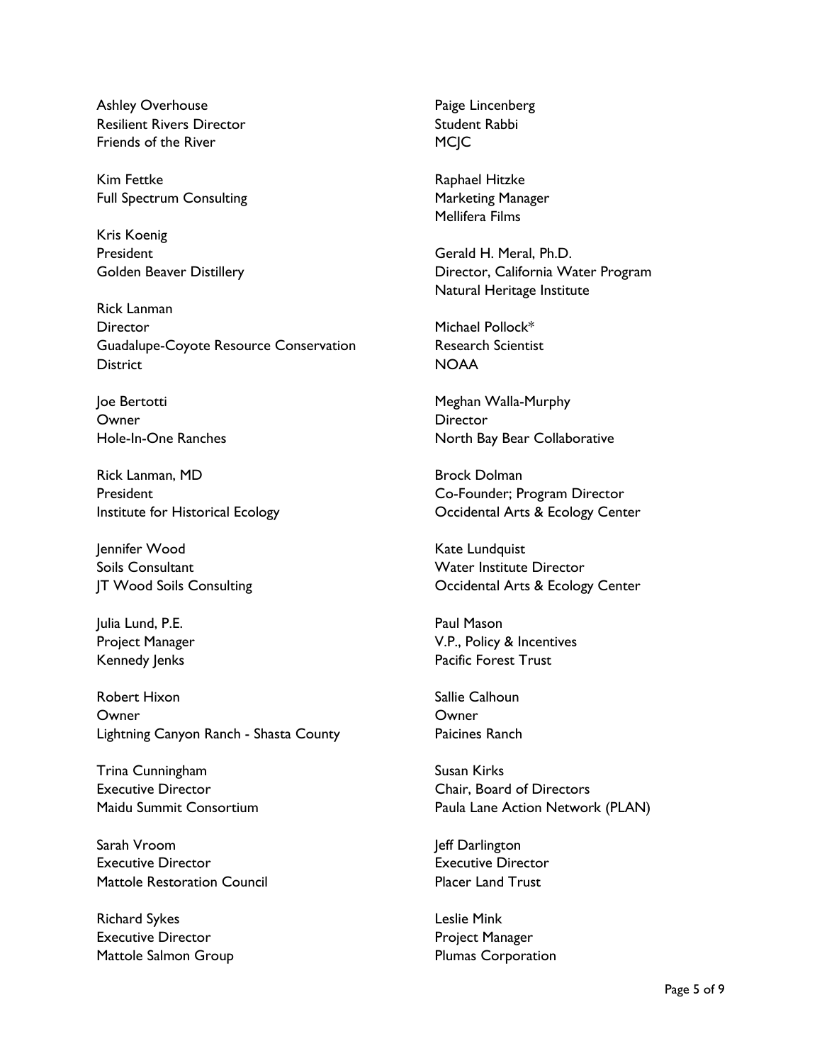Ashley Overhouse Resilient Rivers Director Friends of the River

Kim Fettke Full Spectrum Consulting

Kris Koenig President Golden Beaver Distillery

Rick Lanman **Director** Guadalupe-Coyote Resource Conservation **District** 

Joe Bertotti **Owner** Hole-In-One Ranches

Rick Lanman, MD President Institute for Historical Ecology

Jennifer Wood Soils Consultant JT Wood Soils Consulting

Julia Lund, P.E. Project Manager Kennedy Jenks

Robert Hixon Owner Lightning Canyon Ranch - Shasta County

Trina Cunningham Executive Director Maidu Summit Consortium

Sarah Vroom Executive Director Mattole Restoration Council

Richard Sykes Executive Director Mattole Salmon Group Paige Lincenberg Student Rabbi **MCIC** 

Raphael Hitzke Marketing Manager Mellifera Films

Gerald H. Meral, Ph.D. Director, California Water Program Natural Heritage Institute

Michael Pollock\* Research Scientist NOAA

Meghan Walla-Murphy **Director** North Bay Bear Collaborative

Brock Dolman Co-Founder; Program Director Occidental Arts & Ecology Center

Kate Lundquist Water Institute Director Occidental Arts & Ecology Center

Paul Mason V.P., Policy & Incentives Pacific Forest Trust

Sallie Calhoun **Owner** Paicines Ranch

Susan Kirks Chair, Board of Directors Paula Lane Action Network (PLAN)

Jeff Darlington Executive Director Placer Land Trust

Leslie Mink Project Manager Plumas Corporation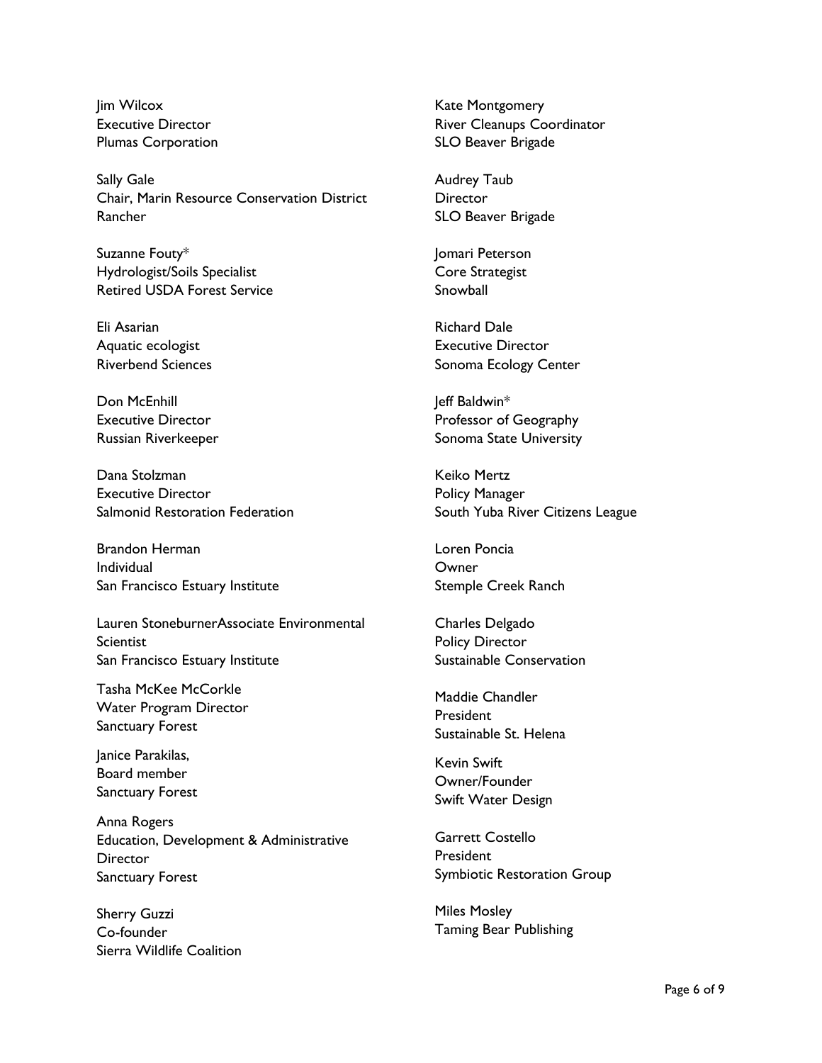lim Wilcox Executive Director Plumas Corporation

Sally Gale Chair, Marin Resource Conservation District Rancher

Suzanne Fouty\* Hydrologist/Soils Specialist Retired USDA Forest Service

Eli Asarian Aquatic ecologist Riverbend Sciences

Don McEnhill Executive Director Russian Riverkeeper

Dana Stolzman Executive Director Salmonid Restoration Federation

Brandon Herman Individual San Francisco Estuary Institute

Lauren StoneburnerAssociate Environmental **Scientist** San Francisco Estuary Institute

Tasha McKee McCorkle Water Program Director Sanctuary Forest

Janice Parakilas, Board member Sanctuary Forest

Anna Rogers Education, Development & Administrative **Director** Sanctuary Forest

Sherry Guzzi Co-founder Sierra Wildlife Coalition Kate Montgomery River Cleanups Coordinator SLO Beaver Brigade

Audrey Taub **Director** SLO Beaver Brigade

Jomari Peterson Core Strategist Snowball

Richard Dale Executive Director Sonoma Ecology Center

Jeff Baldwin\* Professor of Geography Sonoma State University

Keiko Mertz Policy Manager South Yuba River Citizens League

Loren Poncia **Owner** Stemple Creek Ranch

Charles Delgado Policy Director Sustainable Conservation

Maddie Chandler President Sustainable St. Helena

Kevin Swift Owner/Founder Swift Water Design

Garrett Costello President Symbiotic Restoration Group

Miles Mosley Taming Bear Publishing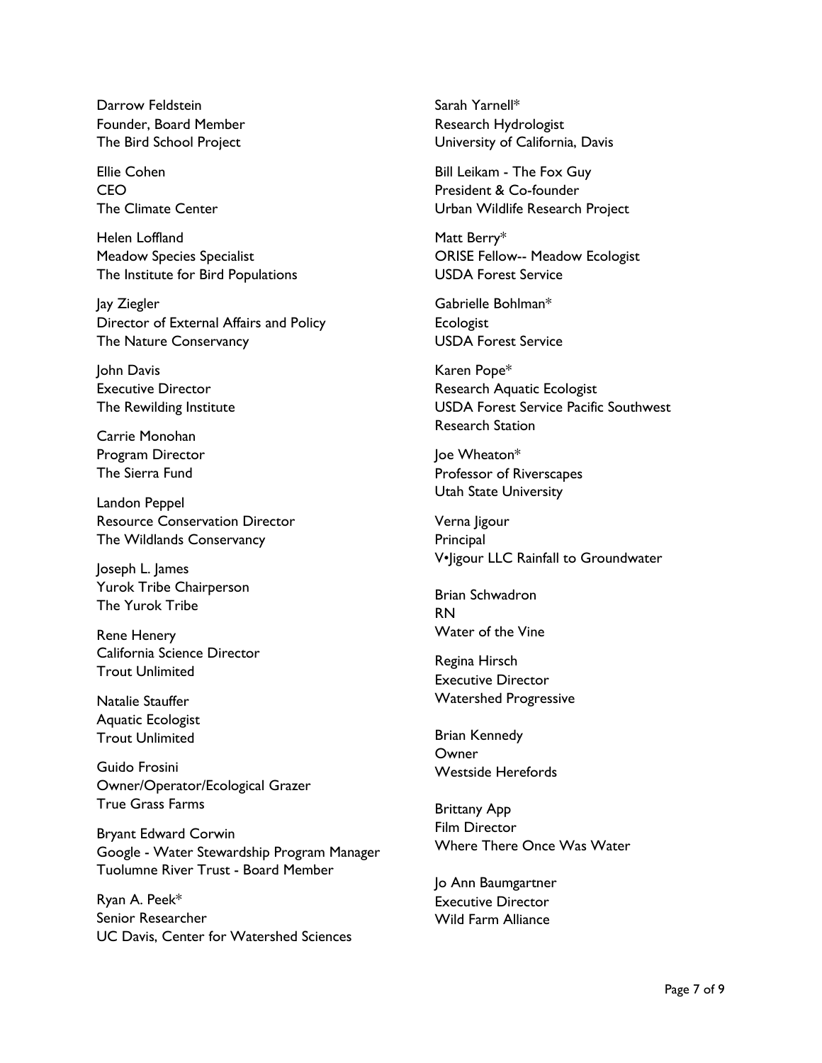Darrow Feldstein Founder, Board Member The Bird School Project

Ellie Cohen CEO The Climate Center

Helen Loffland Meadow Species Specialist The Institute for Bird Populations

Jay Ziegler Director of External Affairs and Policy The Nature Conservancy

John Davis Executive Director The Rewilding Institute

Carrie Monohan Program Director The Sierra Fund

Landon Peppel Resource Conservation Director The Wildlands Conservancy

Joseph L. James Yurok Tribe Chairperson The Yurok Tribe

Rene Henery California Science Director Trout Unlimited

Natalie Stauffer Aquatic Ecologist Trout Unlimited

Guido Frosini Owner/Operator/Ecological Grazer True Grass Farms

Bryant Edward Corwin Google - Water Stewardship Program Manager Tuolumne River Trust - Board Member

Ryan A. Peek\* Senior Researcher UC Davis, Center for Watershed Sciences Sarah Yarnell\* Research Hydrologist University of California, Davis

Bill Leikam - The Fox Guy President & Co-founder Urban Wildlife Research Project

Matt Berry\* ORISE Fellow-- Meadow Ecologist USDA Forest Service

Gabrielle Bohlman\* **Ecologist** USDA Forest Service

Karen Pope\* Research Aquatic Ecologist USDA Forest Service Pacific Southwest Research Station

Joe Wheaton\* Professor of Riverscapes Utah State University

Verna Jigour **Principal** V•Jigour LLC Rainfall to Groundwater

Brian Schwadron RN Water of the Vine

Regina Hirsch Executive Director Watershed Progressive

Brian Kennedy **Owner** Westside Herefords

Brittany App Film Director Where There Once Was Water

Jo Ann Baumgartner Executive Director Wild Farm Alliance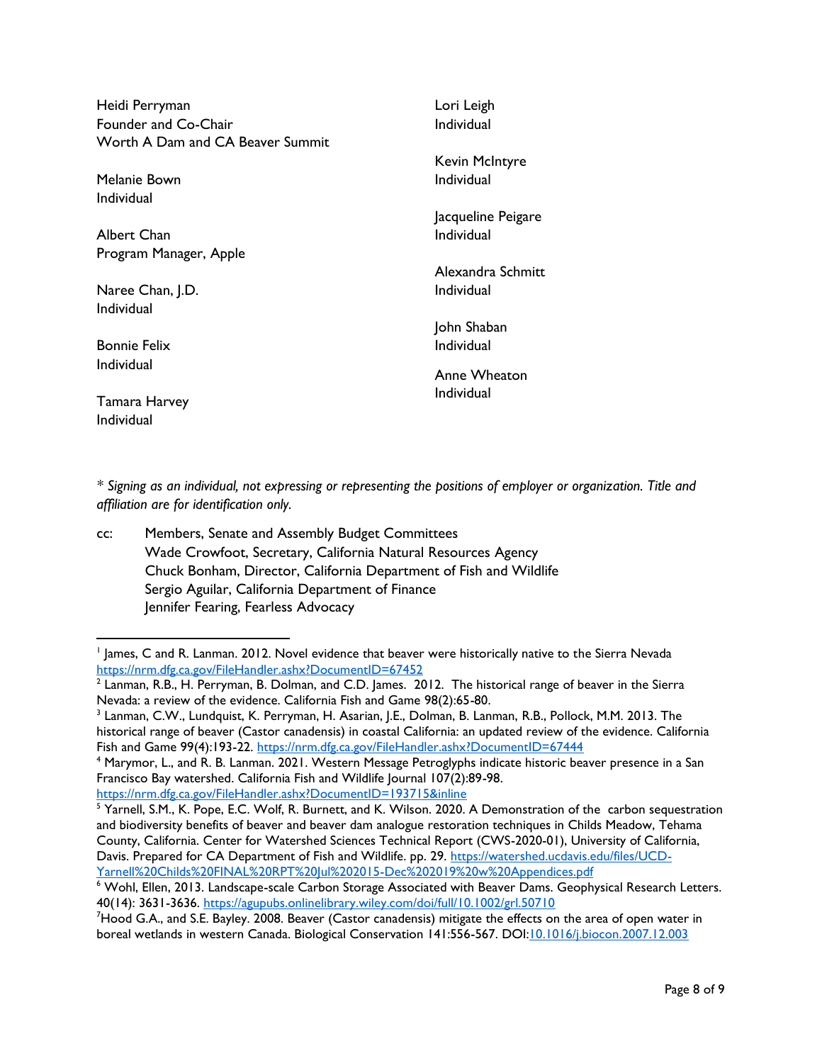| Heidi Perryman<br>Founder and Co-Chair<br>Worth A Dam and CA Beaver Summit | Lori Leigh<br>Individual |
|----------------------------------------------------------------------------|--------------------------|
|                                                                            | Kevin McIntyre           |
| Melanie Bown                                                               | Individual               |
| Individual                                                                 |                          |
|                                                                            | Jacqueline Peigare       |
| Albert Chan                                                                | Individual               |
| Program Manager, Apple                                                     |                          |
|                                                                            | Alexandra Schmitt        |
| Naree Chan, J.D.                                                           | Individual               |
| Individual                                                                 |                          |
|                                                                            | John Shaban              |
| <b>Bonnie Felix</b>                                                        | Individual               |
| Individual                                                                 | Anne Wheaton             |
|                                                                            | Individual               |
| Tamara Harvey                                                              |                          |
| Individual                                                                 |                          |
|                                                                            |                          |

*\* Signing as an individual, not expressing or representing the positions of employer or organization. Title and affiliation are for identification only.*

cc: Members, Senate and Assembly Budget Committees Wade Crowfoot, Secretary, California Natural Resources Agency Chuck Bonham, Director, California Department of Fish and Wildlife Sergio Aguilar, California Department of Finance Jennifer Fearing, Fearless Advocacy

<https://nrm.dfg.ca.gov/FileHandler.ashx?DocumentID=193715&inline>

<sup>1</sup> James, C and R. Lanman. 2012. Novel evidence that beaver were historically native to the Sierra Nevada <https://nrm.dfg.ca.gov/FileHandler.ashx?DocumentID=67452>

 $^2$  Lanman, R.B., H. Perryman, B. Dolman, and C.D. James. 2012. The historical range of beaver in the Sierra Nevada: a review of the evidence. California Fish and Game 98(2):65-80.

<sup>3</sup> Lanman, C.W., Lundquist, K. Perryman, H. Asarian, J.E., Dolman, B. Lanman, R.B., Pollock, M.M. 2013. The historical range of beaver (Castor canadensis) in coastal California: an updated review of the evidence. California Fish and Game 99(4):193-22.<https://nrm.dfg.ca.gov/FileHandler.ashx?DocumentID=67444>

<sup>4</sup> Marymor, L., and R. B. Lanman. 2021. Western Message Petroglyphs indicate historic beaver presence in a San Francisco Bay watershed. California Fish and Wildlife Journal 107(2):89-98.

<sup>&</sup>lt;sup>5</sup> Yarnell, S.M., K. Pope, E.C. Wolf, R. Burnett, and K. Wilson. 2020. A Demonstration of the carbon sequestration and biodiversity benefits of beaver and beaver dam analogue restoration techniques in Childs Meadow, Tehama County, California. Center for Watershed Sciences Technical Report (CWS-2020-01), University of California, Davis. Prepared for CA Department of Fish and Wildlife. pp. 29. [https://watershed.ucdavis.edu/files/UCD-](https://watershed.ucdavis.edu/files/UCD-Yarnell%20Childs%20FINAL%20RPT%20Jul%202015-Dec%202019%20w%20Appendices.pdf)[Yarnell%20Childs%20FINAL%20RPT%20Jul%202015-Dec%202019%20w%20Appendices.pdf](https://watershed.ucdavis.edu/files/UCD-Yarnell%20Childs%20FINAL%20RPT%20Jul%202015-Dec%202019%20w%20Appendices.pdf)

<sup>6</sup> Wohl, Ellen, 2013. Landscape-scale Carbon Storage Associated with Beaver Dams. Geophysical Research Letters. 40(14): 3631-3636.<https://agupubs.onlinelibrary.wiley.com/doi/full/10.1002/grl.50710>

<sup>7</sup>Hood G.A., and S.E. Bayley. 2008. Beaver (Castor canadensis) mitigate the effects on the area of open water in boreal wetlands in western Canada. Biological Conservation 141:556-567. DO[I:10.1016/j.biocon.2007.12.003](http://dx.doi.org/10.1016/j.biocon.2007.12.003)